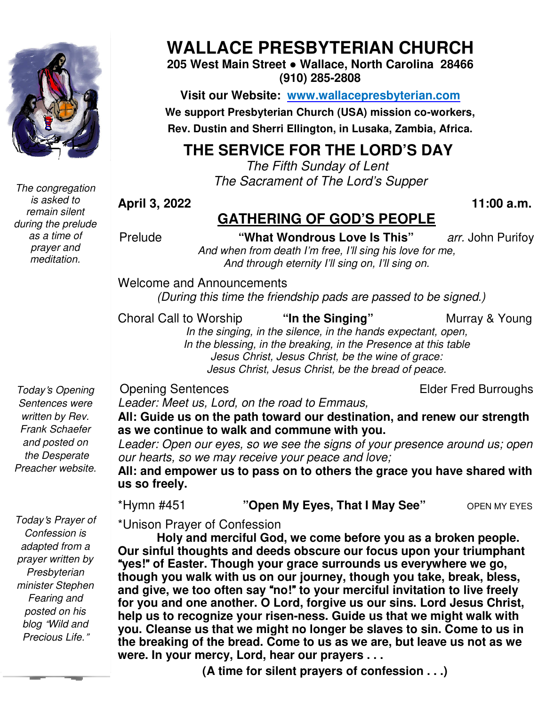

*The congregation is asked to remain silent during the prelude as a time of prayer and meditation.* 

# **WALLACE PRESBYTERIAN CHURCH**

**205 West Main Street ● Wallace, North Carolina 28466 (910) 285-2808** 

**Visit our Website: www.wallacepresbyterian.com We support Presbyterian Church (USA) mission Church co-workers, Rev. Dustin and Sherri Ellington, in Lusaka, Zambia, Africa. Sherri Ellington,** 

### **THE SERVICE FOR THE LORD'S DAY**

 *The Fifth Fifth Sunday of Lent The Sacrament of The Lord Lord's Supper* 

**April 3, 2022** 

## **GATHERING OF GOD'S PEOPLE**

**This"** *arr.* John Purifo Purifoy

 **11:00 a.m.**

Prelude **"What Wondrous Love Is This** And when from death I'm free, I'll sing his love for me, *And through eternity I'll sing on, I'll sing on. eternity I'll* 

Welcome and Announcements and Announcements

*(During this time the friendship pads are passed to be (During this signed.)* 

Choral Call to Worship

"In the Singing"

Murray & Young

*In the singing, in the silence, in the hands expectant, open, In the blessing, in the breaking, in the Presence at this table Jesus Christ, Jesus Christ, be the wine of grace: Jesus Christ, Jesus Christ, be the bread of peace. the wine Jesus Christ,* 

Opening Sentences

Elder Fred Burroughs

*Today*'*s Opening Sentences were written by Rev. Frank Schaefer and posted on the Desperate Preacher website.* 

*Leader: Meet us, Lord, on the road to Emmaus,*

All: Guide us on the path toward our destination, and renew our strength **as we continue to walk and commune with you.**

*Leader: Open our eyes, so we see the signs of your presence around us; open*  Leader: Open our eyes, so we see the signs of your<br>our hearts, so we may receive your peace and love;

**All: and empower us to pass on to others the grace you have shared with us "Open My Eyes, That I May See"** OPEN MY EYES **us so freely.** 

\*Hymn #451 **"Open My Eyes, That I May See"** 

**OPEN MY EYES** 

\*Unison Prayer of Confession

**Holy and merciful God, we come before you as a broken people. Our sinful thoughts and deeds obscure our focus upon your triumphant**  "**yes!**" **of Easter. Though your grace surrounds us everywhere we go,**  Holy and merciful God, we come before you as a broken people.<br>Our sinful thoughts and deeds obscure our focus upon your triumphant<br>"yes!" of Easter. Though your grace surrounds us everywhere we go,<br>though you walk with us and give, we too often say "no!" to your merciful invitation to live freely **for you and one another. O Lord, forgive us our sins. Lord Jesus Christ,**  help us to recognize your risen-ness. Guide us that we might walk with **you. Cleanse us that we us might no longer be slaves to sin. Come to us in the breaking of the bread. Come to us as we are, but leave us not as we were. In your mercy, Lord, hear our prayers . . . il 3, 2022**<br> **CATHERING OF GOD'S PEOPLE**<br> **breaking of the total condition of the to hear in the to the single increase a.g. (This ingle on the and through eleminy (This ing on. This ing on.<br>
come and Announcements<br>
(Duri** 

**(A time for silent prayers of confession . . .)**

 *posted on his Today*'*s Prayer of Confession is adapted from a prayer written by Presbyterian minister Stephen Fearing and blog* "*Wild and Precious Life.*"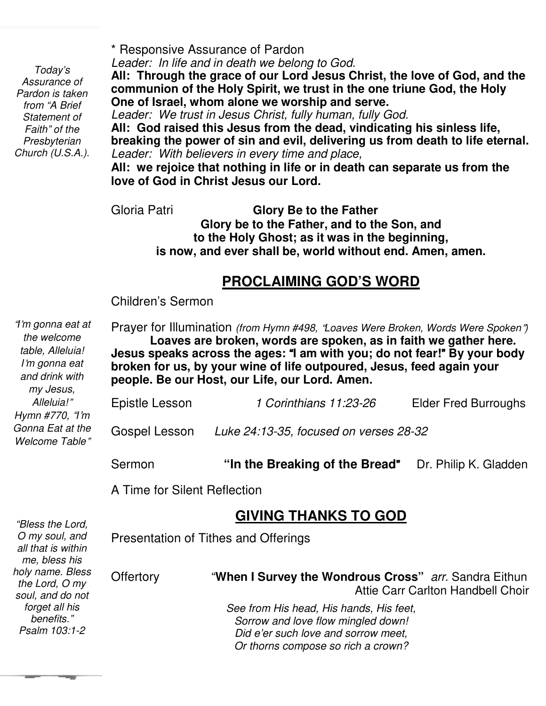*Presbyterian Today's Assurance of Pardon is taken from "A Brief Statement of Faith" of the Church (U.S.A.).* 

*"Bless the Lord,* 

\* Responsive Assurance of Pardon

*Leader: In life and in death we belong to God.*

**All: Through the grace of our Lord Jesus Christ, the love of God, and the communion of the Holy Spirit, we trust in the one triune God, the Holy One of Israel, whom alone we worship and serve.**

*Leader: We trust in Jesus Christ, fully human, fully God.* **All: God raised this Jesus from the dead, vindicating his sinless life, breaking the power of sin and evil, delivering us from death to life eternal.** *Leader: With believers in every time and place,*

**All: we rejoice that nothing in life or in death can separate us from the love of God in Christ Jesus our Lord.**

Gloria Patri

 **to the Holy Ghost; as it was in the beginning, Glory Be to the Father Glory be to the Father, and to the Son, and is now, and ever shall be, world without end. Amen, amen.** 

### **PROCLAIMING GOD'S WORD**

Children's Sermon

 "*I*'*m gonna eat at*  Prayer for Illumination *(from Hymn #498,* "*Loaves Were Broken, Words Were Spoken*"*)* **Loaves are broken, words are spoken, as in faith we gather here. Jesus speaks across the ages:** "**I am with you; do not fear!**" **By your body broken for us, by your wine of life outpoured, Jesus, feed again your people. Be our Host, our Life, our Lord. Amen.**  Epistle Lesson *1 Corinthians 11:23-26* Elder Fred Burroughs Gospel Lesson *Luke 24:13-35, focused on verses 28-32* Sermon **"In the Breaking of the Bread**"Dr. Philip K. Gladden A Time for Silent Reflection *the welcome table, Alleluia! I*'*m gonna eat and drink with my Jesus, Alleluia!*" *Hymn #770,* "*I*'*m Gonna Eat at the Welcome Table*"

#### **GIVING THANKS TO GOD**

| טוטב בווו ככסוש,<br>O my soul, and<br>all that is within<br>me, bless his | Presentation of Tithes and Offerings |                                                                                                                                                            |  |
|---------------------------------------------------------------------------|--------------------------------------|------------------------------------------------------------------------------------------------------------------------------------------------------------|--|
| holy name. Bless<br>the Lord, O my<br>soul, and do not                    | <b>Offertory</b>                     | "When I Survey the Wondrous Cross" arr. Sandra Eithun<br>Attie Carr Carlton Handbell Choir                                                                 |  |
| forget all his<br>benefits."<br>Psalm 103:1-2                             |                                      | See from His head, His hands, His feet,<br>Sorrow and love flow mingled down!<br>Did e'er such love and sorrow meet,<br>Or thorns compose so rich a crown? |  |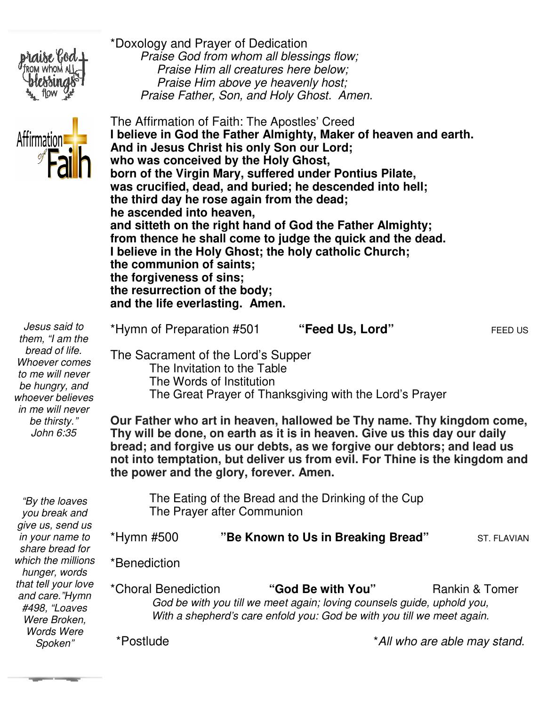



 *Praise Him above ye heavenly host; Praise Father, Son, and Holy Ghost. Amen* The Affirmation of Faith: The Apostles' Creed **I believe in God the Father Almighty, Maker of heaven and earth. And in Jesus Christ his only Son our Lord; Christ Lord; who was conceived by the Holy Ghost, the Ghost,**  born of the Virgin Mary, suffered under Pontius Pilate, was crucified, dead, and buried; he descended into hell; the third day he rose again from the dead; **he ascended into heaven,** he ascended into heaven,<br>and sitteth on the right hand of God the Father Almighty; **from thence he shall come to judge the quick and the dead.** from thence he shall come to judge the quick and the<br>I believe in the Holy Ghost; the holy catholic Church; **the communion of saints; saints; the forgiveness of sins; the resurrection of the body; of body; and the life everlasting. Amen. Praise God from whom all blessings flow;**<br>**Praise Him all creatures here below;**<br>**Praise Him above ye heavenly host;**<br>**Praise Father, Son, and Holy Ghost. Amen.** 

\*Doxology and Prayer of Dedication

\*Hymn of Preparation #501

 *Praise God from whom all blessings flow; Praise Him all creatures here below;*

| Jesus said to    |
|------------------|
| them, "I am the  |
| bread of life.   |
| Whoever comes    |
| to me will never |
| be hungry, and   |
| whoever believes |
| in me will never |
| be thirsty."     |
| John 6:35        |

*that tell your love and care."Hymn #498, "Loaves Were Broken, Words Were Spoken"* 

The Sacrament of the Lord's Supper Sacrament The Invitation to the Table The Words of Institution The Invitation to the Table<br>The Words of Institution<br>The Great Prayer of Thanksgiving with the Lord's Prayer **Our Father who art in heaven, hallowed be Thy name. Thy kingdom come, Thy will be done, on earth as it is in heaven. Give us this day our daily bread; and forgive us our debts, as we forgive our debtors; and lead us not into temptation, but deliver us from evil. For Thine is the kingdom and the power and the glory, forever. Amen.** The Eating of the Bread and the Drinking of the Cup<br>The Prayer after Communion The Prayer after Communion \*Hymn #500 **"Be Known to Us in Breaking Bread Be Breaking Bread"** ST. FLAVIAN \*Benediction *"By the loaves you break and give us, send us in your name to share bread for which the millions hunger, words*  Our Father who art in heaven, hallowed be Thy name. Thy<br>Thy will be done, on earth as it is in heaven. Give us this d<br>bread; and forgive us our debts, as we forgive our debtors<br>not into temptation, but deliver us from evil

> \*Choral Benediction *God be with you till we meet again; loving counsels guide, uphold you, God be with you till we meet again; loving counsels guide, uphold you, With a shepherd's care enfold you: God be with you till we meet again.* "God Be with You" Rankin & Tomer

\*Postlude

\**All who are able may stand.*

**"Feed Us, Lord"** FEED US